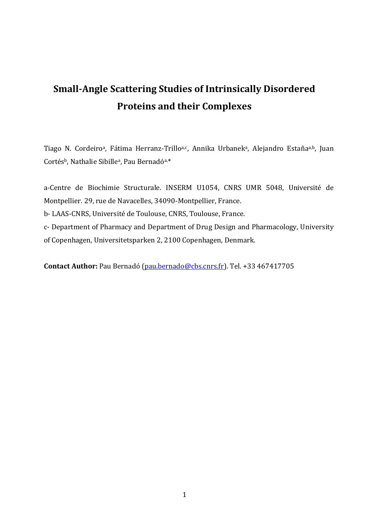# **Small-Angle Scattering Studies of Intrinsically Disordered Proteins and their Complexes**

Tiago N. Cordeiro<sup>a</sup>, Fátima Herranz-Trillo<sup>a,c</sup>, Annika Urbanek<sup>a</sup>, Alejandro Estaña<sup>a,b</sup>, Juan Cortés<sup>b</sup>, Nathalie Sibille<sup>a</sup>, Pau Bernadó<sup>a,\*</sup>

a-Centre de Biochimie Structurale. INSERM U1054, CNRS UMR 5048, Université de Montpellier. 29, rue de Navacelles, 34090-Montpellier, France.

b- LAAS-CNRS, Université de Toulouse, CNRS, Toulouse, France.

c- Department of Pharmacy and Department of Drug Design and Pharmacology, University of Copenhagen, Universitetsparken 2, 2100 Copenhagen, Denmark.

**Contact Author:** Pau Bernadó [\(pau.bernado@cbs.cnrs.fr\)](mailto:pau.bernado@cbs.cnrs.fr). Tel. +33 467417705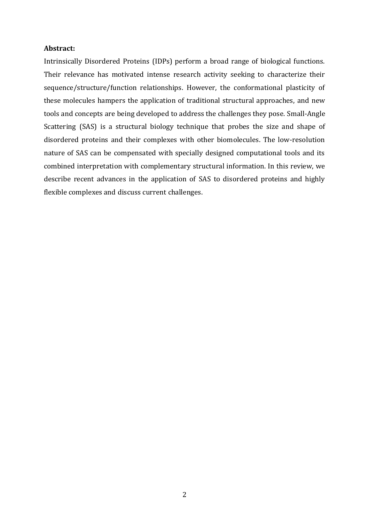#### **Abstract:**

Intrinsically Disordered Proteins (IDPs) perform a broad range of biological functions. Their relevance has motivated intense research activity seeking to characterize their sequence/structure/function relationships. However, the conformational plasticity of these molecules hampers the application of traditional structural approaches, and new tools and concepts are being developed to address the challenges they pose. Small-Angle Scattering (SAS) is a structural biology technique that probes the size and shape of disordered proteins and their complexes with other biomolecules. The low-resolution nature of SAS can be compensated with specially designed computational tools and its combined interpretation with complementary structural information. In this review, we describe recent advances in the application of SAS to disordered proteins and highly flexible complexes and discuss current challenges.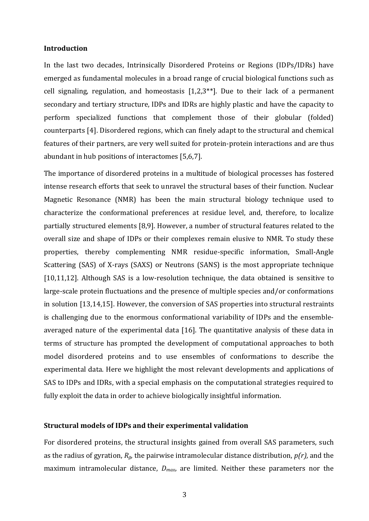### **Introduction**

<span id="page-2-3"></span><span id="page-2-2"></span>In the last two decades, Intrinsically Disordered Proteins or Regions (IDPs/IDRs) have emerged as fundamental molecules in a broad range of crucial biological functions such as cell signaling, regulation, and homeostasis  $[1,2,3^{**}]$ . Due to their lack of a permanent secondary and tertiary structure, IDPs and IDRs are highly plastic and have the capacity to perform specialized functions that complement those of their globular (folded) counterparts [4]. Disordered regions, which can finely adapt to the structural and chemical features of their partners, are very well suited for protein-protein interactions and are thus abundant in hub positions of interactomes [5,6,7].

<span id="page-2-1"></span>The importance of disordered proteins in a multitude of biological processes has fostered intense research efforts that seek to unravel the structural bases of their function. Nuclear Magnetic Resonance (NMR) has been the main structural biology technique used to characterize the conformational preferences at residue level, and, therefore, to localize partially structured elements [8,9]. However, a number of structural features related to the overall size and shape of IDPs or their complexes remain elusive to NMR. To study these properties, thereby complementing NMR residue-specific information, Small-Angle Scattering (SAS) of X-rays (SAXS) or Neutrons (SANS) is the most appropriate technique [10,11,12]. Although SAS is a low-resolution technique, the data obtained is sensitive to large-scale protein fluctuations and the presence of multiple species and/or conformations in solution [13,14,15]. However, the conversion of SAS properties into structural restraints is challenging due to the enormous conformational variability of IDPs and the ensembleaveraged nature of the experimental data [16]. The quantitative analysis of these data in terms of structure has prompted the development of computational approaches to both model disordered proteins and to use ensembles of conformations to describe the experimental data. Here we highlight the most relevant developments and applications of SAS to IDPs and IDRs, with a special emphasis on the computational strategies required to fully exploit the data in order to achieve biologically insightful information.

#### <span id="page-2-0"></span>**Structural models of IDPs and their experimental validation**

For disordered proteins, the structural insights gained from overall SAS parameters, such as the radius of gyration, *Rg*, the pairwise intramolecular distance distribution, *p(r),* and the maximum intramolecular distance, *Dmax*, are limited. Neither these parameters nor the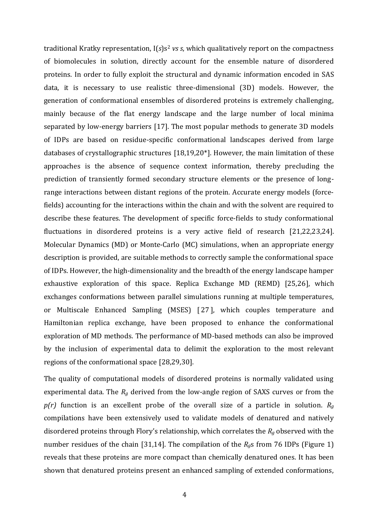<span id="page-3-0"></span>traditional Kratky representation,  $I(s)s^2$  *vs s*, which qualitatively report on the compactness of biomolecules in solution, directly account for the ensemble nature of disordered proteins. In order to fully exploit the structural and dynamic information encoded in SAS data, it is necessary to use realistic three-dimensional (3D) models. However, the generation of conformational ensembles of disordered proteins is extremely challenging, mainly because of the flat energy landscape and the large number of local minima separated by low-energy barriers [17]. The most popular methods to generate 3D models of IDPs are based on residue-specific conformational landscapes derived from large databases of crystallographic structures [18,19,20\*]. However, the main limitation of these approaches is the absence of sequence context information, thereby precluding the prediction of transiently formed secondary structure elements or the presence of longrange interactions between distant regions of the protein. Accurate energy models (forcefields) accounting for the interactions within the chain and with the solvent are required to describe these features. The development of specific force-fields to study conformational fluctuations in disordered proteins is a very active field of research [21,22,23,24]. Molecular Dynamics (MD) or Monte-Carlo (MC) simulations, when an appropriate energy description is provided, are suitable methods to correctly sample the conformational space of IDPs. However, the high-dimensionality and the breadth of the energy landscape hamper exhaustive exploration of this space. Replica Exchange MD (REMD) [25,26], which exchanges conformations between parallel simulations running at multiple temperatures, or Multiscale Enhanced Sampling (MSES) [ 27 ], which couples temperature and Hamiltonian replica exchange, have been proposed to enhance the conformational exploration of MD methods. The performance of MD-based methods can also be improved by the inclusion of experimental data to delimit the exploration to the most relevant regions of the conformational space [28,29,30].

<span id="page-3-1"></span>The quality of computational models of disordered proteins is normally validated using experimental data. The  $R_g$  derived from the low-angle region of SAXS curves or from the *p(r)* function is an excellent probe of the overall size of a particle in solution. *R<sup>g</sup>* compilations have been extensively used to validate models of denatured and natively disordered proteins through Flory's relationship, which correlates the *R<sup>g</sup>* observed with the number residues of the chain [3[1,14\]](#page-2-0). The compilation of the *R<sub>a</sub>*s from 76 IDPs (Figure 1) reveals that these proteins are more compact than chemically denatured ones. It has been shown that denatured proteins present an enhanced sampling of extended conformations,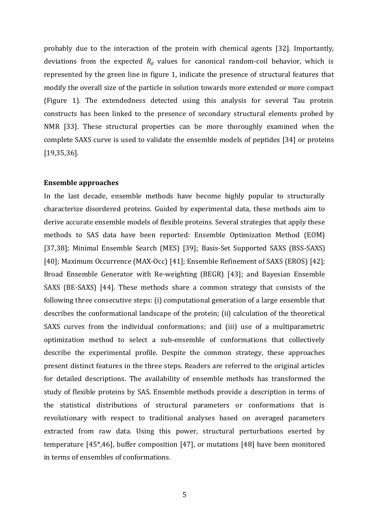<span id="page-4-6"></span>probably due to the interaction of the protein with chemical agents [32]. Importantly, deviations from the expected  $R_q$  values for canonical random-coil behavior, which is represented by the green line in figure 1, indicate the presence of structural features that modify the overall size of the particle in solution towards more extended or more compact (Figure 1). The extendedness detected using this analysis for several Tau protein constructs has been linked to the presence of secondary structural elements probed by NMR [33]. These structural properties can be more thoroughly examined when the complete SAXS curve is used to validate the ensemble models of peptides [34] or proteins [\[19,3](#page-3-0)5,36].

#### **Ensemble approaches**

<span id="page-4-5"></span><span id="page-4-4"></span><span id="page-4-3"></span><span id="page-4-2"></span><span id="page-4-1"></span><span id="page-4-0"></span>In the last decade, ensemble methods have become highly popular to structurally characterize disordered proteins. Guided by experimental data, these methods aim to derive accurate ensemble models of flexible proteins. Several strategies that apply these methods to SAS data have been reported: Ensemble Optimization Method (EOM) [37,38]; Minimal Ensemble Search (MES) [39]; Basis-Set Supported SAXS (BSS-SAXS) [40]; Maximum Occurrence (MAX-Occ) [41]; Ensemble Refinement of SAXS (EROS) [42]; Broad Ensemble Generator with Re-weighting (BEGR) [43]; and Bayesian Ensemble SAXS (BE-SAXS) [44]. These methods share a common strategy that consists of the following three consecutive steps: (i) computational generation of a large ensemble that describes the conformational landscape of the protein; (ii) calculation of the theoretical SAXS curves from the individual conformations; and (iii) use of a multiparametric optimization method to select a sub-ensemble of conformations that collectively describe the experimental profile. Despite the common strategy, these approaches present distinct features in the three steps. Readers are referred to the original articles for detailed descriptions. The availability of ensemble methods has transformed the study of flexible proteins by SAS. Ensemble methods provide a description in terms of the statistical distributions of structural parameters or conformations that is revolutionary with respect to traditional analyses based on averaged parameters extracted from raw data. Using this power, structural perturbations exerted by temperature [45\*,46], buffer composition [47], or mutations [48] have been monitored in terms of ensembles of conformations.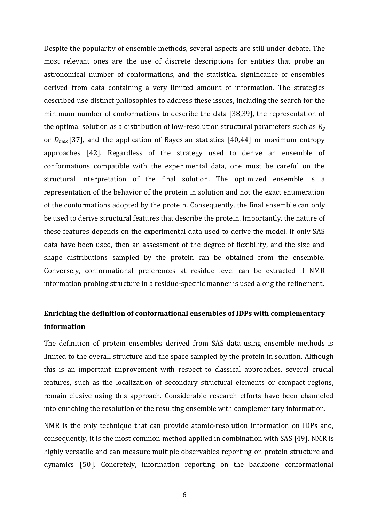Despite the popularity of ensemble methods, several aspects are still under debate. The most relevant ones are the use of discrete descriptions for entities that probe an astronomical number of conformations, and the statistical significance of ensembles derived from data containing a very limited amount of information. The strategies described use distinct philosophies to address these issues, including the search for the minimum number of conformations to describe the data [\[38,](#page-4-0)[39\]](#page-4-1), the representation of the optimal solution as a distribution of low-resolution structural parameters such as *R<sup>g</sup>* or *Dmax* [\[37\]](#page-4-2), and the application of Bayesian statistics [\[40](#page-4-3)[,44\]](#page-4-4) or maximum entropy approaches [\[42\]](#page-4-5). Regardless of the strategy used to derive an ensemble of conformations compatible with the experimental data, one must be careful on the structural interpretation of the final solution. The optimized ensemble is a representation of the behavior of the protein in solution and not the exact enumeration of the conformations adopted by the protein. Consequently, the final ensemble can only be used to derive structural features that describe the protein. Importantly, the nature of these features depends on the experimental data used to derive the model. If only SAS data have been used, then an assessment of the degree of flexibility, and the size and shape distributions sampled by the protein can be obtained from the ensemble. Conversely, conformational preferences at residue level can be extracted if NMR information probing structure in a residue-specific manner is used along the refinement.

# **Enriching the definition of conformational ensembles of IDPs with complementary information**

The definition of protein ensembles derived from SAS data using ensemble methods is limited to the overall structure and the space sampled by the protein in solution. Although this is an important improvement with respect to classical approaches, several crucial features, such as the localization of secondary structural elements or compact regions, remain elusive using this approach. Considerable research efforts have been channeled into enriching the resolution of the resulting ensemble with complementary information.

NMR is the only technique that can provide atomic-resolution information on IDPs and, consequently, it is the most common method applied in combination with SAS [49]. NMR is highly versatile and can measure multiple observables reporting on protein structure and dynamics [50]. Concretely, information reporting on the backbone conformational

6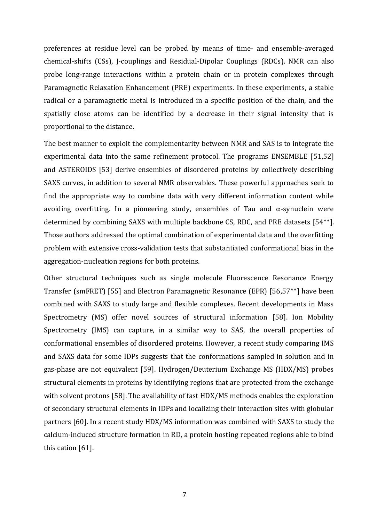preferences at residue level can be probed by means of time- and ensemble-averaged chemical-shifts (CSs), J-couplings and Residual-Dipolar Couplings (RDCs). NMR can also probe long-range interactions within a protein chain or in protein complexes through Paramagnetic Relaxation Enhancement (PRE) experiments. In these experiments, a stable radical or a paramagnetic metal is introduced in a specific position of the chain, and the spatially close atoms can be identified by a decrease in their signal intensity that is proportional to the distance.

The best manner to exploit the complementarity between NMR and SAS is to integrate the experimental data into the same refinement protocol. The programs ENSEMBLE [51,52] and ASTEROIDS [53] derive ensembles of disordered proteins by collectively describing SAXS curves, in addition to several NMR observables. These powerful approaches seek to find the appropriate way to combine data with very different information content while avoiding overfitting. In a pioneering study, ensembles of Tau and  $\alpha$ -synuclein were determined by combining SAXS with multiple backbone CS, RDC, and PRE datasets [54\*\*]. Those authors addressed the optimal combination of experimental data and the overfitting problem with extensive cross-validation tests that substantiated conformational bias in the aggregation-nucleation regions for both proteins.

<span id="page-6-0"></span>Other structural techniques such as single molecule Fluorescence Resonance Energy Transfer (smFRET) [55] and Electron Paramagnetic Resonance (EPR) [56,57\*\*] have been combined with SAXS to study large and flexible complexes. Recent developments in Mass Spectrometry (MS) offer novel sources of structural information [58]. Ion Mobility Spectrometry (IMS) can capture, in a similar way to SAS, the overall properties of conformational ensembles of disordered proteins. However, a recent study comparing IMS and SAXS data for some IDPs suggests that the conformations sampled in solution and in gas-phase are not equivalent [59]. Hydrogen/Deuterium Exchange MS (HDX/MS) probes structural elements in proteins by identifying regions that are protected from the exchange with solvent protons [\[58\]](#page-6-0). The availability of fast HDX/MS methods enables the exploration of secondary structural elements in IDPs and localizing their interaction sites with globular partners [60]. In a recent study HDX/MS information was combined with SAXS to study the calcium-induced structure formation in RD, a protein hosting repeated regions able to bind this cation [61].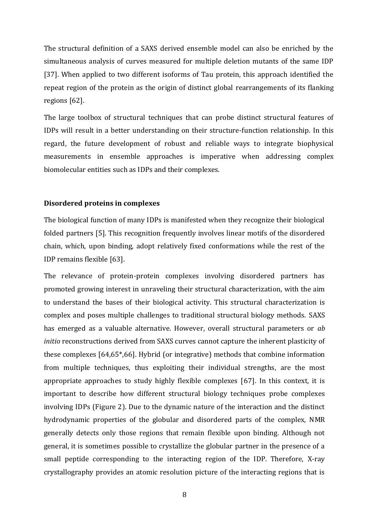The structural definition of a SAXS derived ensemble model can also be enriched by the simultaneous analysis of curves measured for multiple deletion mutants of the same IDP [\[37\]](#page-4-2). When applied to two different isoforms of Tau protein, this approach identified the repeat region of the protein as the origin of distinct global rearrangements of its flanking regions [62].

The large toolbox of structural techniques that can probe distinct structural features of IDPs will result in a better understanding on their structure-function relationship. In this regard, the future development of robust and reliable ways to integrate biophysical measurements in ensemble approaches is imperative when addressing complex biomolecular entities such as IDPs and their complexes.

#### **Disordered proteins in complexes**

The biological function of many IDPs is manifested when they recognize their biological folded partners [\[5\]](#page-2-1). This recognition frequently involves linear motifs of the disordered chain, which, upon binding, adopt relatively fixed conformations while the rest of the IDP remains flexible [63].

<span id="page-7-0"></span>The relevance of protein-protein complexes involving disordered partners has promoted growing interest in unraveling their structural characterization, with the aim to understand the bases of their biological activity. This structural characterization is complex and poses multiple challenges to traditional structural biology methods. SAXS has emerged as a valuable alternative. However, overall structural parameters or *ab initio* reconstructions derived from SAXS curves cannot capture the inherent plasticity of these complexes [64,65\*,66]. Hybrid (or integrative) methods that combine information from multiple techniques, thus exploiting their individual strengths, are the most appropriate approaches to study highly flexible complexes [67]. In this context, it is important to describe how different structural biology techniques probe complexes involving IDPs (Figure 2). Due to the dynamic nature of the interaction and the distinct hydrodynamic properties of the globular and disordered parts of the complex, NMR generally detects only those regions that remain flexible upon binding. Although not general, it is sometimes possible to crystallize the globular partner in the presence of a small peptide corresponding to the interacting region of the IDP. Therefore, X-ray crystallography provides an atomic resolution picture of the interacting regions that is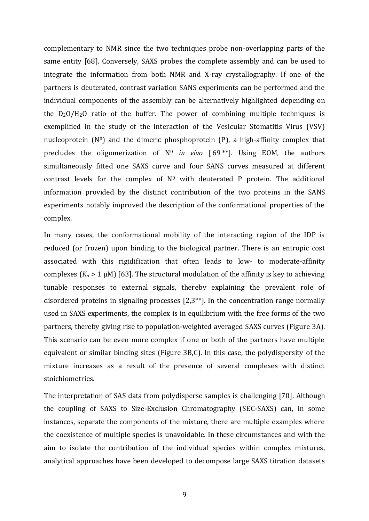complementary to NMR since the two techniques probe non-overlapping parts of the same entity [68]. Conversely, SAXS probes the complete assembly and can be used to integrate the information from both NMR and X-ray crystallography. If one of the partners is deuterated, contrast variation SANS experiments can be performed and the individual components of the assembly can be alternatively highlighted depending on the  $D_2O/H_2O$  ratio of the buffer. The power of combining multiple techniques is exemplified in the study of the interaction of the Vesicular Stomatitis Virus (VSV) nucleoprotein  $(N^0)$  and the dimeric phosphoprotein  $(P)$ , a high-affinity complex that precludes the oligomerization of N<sup>0</sup> *in vivo* [69<sup>\*\*</sup>]. Using EOM, the authors simultaneously fitted one SAXS curve and four SANS curves measured at different contrast levels for the complex of  $N^0$  with deuterated P protein. The additional information provided by the distinct contribution of the two proteins in the SANS experiments notably improved the description of the conformational properties of the complex.

In many cases, the conformational mobility of the interacting region of the IDP is reduced (or frozen) upon binding to the biological partner. There is an entropic cost associated with this rigidification that often leads to low- to moderate-affinity complexes  $(K_d > 1 \mu M)$  [\[63\]](#page-7-0). The structural modulation of the affinity is key to achieving tunable responses to external signals, thereby explaining the prevalent role of disordered proteins in signaling processes [\[2](#page-2-2)[,3\\*](#page-2-3)\*]. In the concentration range normally used in SAXS experiments, the complex is in equilibrium with the free forms of the two partners, thereby giving rise to population-weighted averaged SAXS curves (Figure 3A). This scenario can be even more complex if one or both of the partners have multiple equivalent or similar binding sites (Figure 3B,C). In this case, the polydispersity of the mixture increases as a result of the presence of several complexes with distinct stoichiometries.

<span id="page-8-0"></span>The interpretation of SAS data from polydisperse samples is challenging [70]. Although the coupling of SAXS to Size-Exclusion Chromatography (SEC-SAXS) can, in some instances, separate the components of the mixture, there are multiple examples where the coexistence of multiple species is unavoidable. In these circumstances and with the aim to isolate the contribution of the individual species within complex mixtures, analytical approaches have been developed to decompose large SAXS titration datasets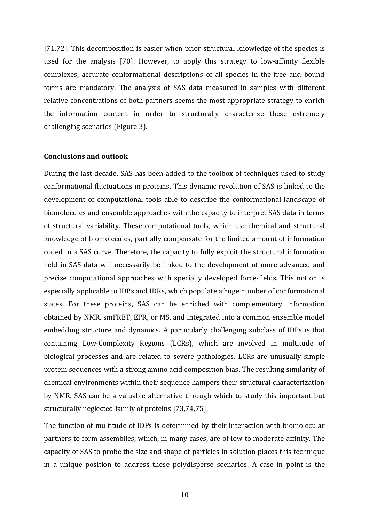[71,72]. This decomposition is easier when prior structural knowledge of the species is used for the analysis [\[70\]](#page-8-0). However, to apply this strategy to low-affinity flexible complexes, accurate conformational descriptions of all species in the free and bound forms are mandatory. The analysis of SAS data measured in samples with different relative concentrations of both partners seems the most appropriate strategy to enrich the information content in order to structurally characterize these extremely challenging scenarios (Figure 3).

#### **Conclusions and outlook**

During the last decade, SAS has been added to the toolbox of techniques used to study conformational fluctuations in proteins. This dynamic revolution of SAS is linked to the development of computational tools able to describe the conformational landscape of biomolecules and ensemble approaches with the capacity to interpret SAS data in terms of structural variability. These computational tools, which use chemical and structural knowledge of biomolecules, partially compensate for the limited amount of information coded in a SAS curve. Therefore, the capacity to fully exploit the structural information held in SAS data will necessarily be linked to the development of more advanced and precise computational approaches with specially developed force-fields. This notion is especially applicable to IDPs and IDRs, which populate a huge number of conformational states. For these proteins, SAS can be enriched with complementary information obtained by NMR, smFRET, EPR, or MS, and integrated into a common ensemble model embedding structure and dynamics. A particularly challenging subclass of IDPs is that containing Low-Complexity Regions (LCRs), which are involved in multitude of biological processes and are related to severe pathologies. LCRs are unusually simple protein sequences with a strong amino acid composition bias. The resulting similarity of chemical environments within their sequence hampers their structural characterization by NMR. SAS can be a valuable alternative through which to study this important but structurally neglected family of proteins [73,74,75].

The function of multitude of IDPs is determined by their interaction with biomolecular partners to form assemblies, which, in many cases, are of low to moderate affinity. The capacity of SAS to probe the size and shape of particles in solution places this technique in a unique position to address these polydisperse scenarios. A case in point is the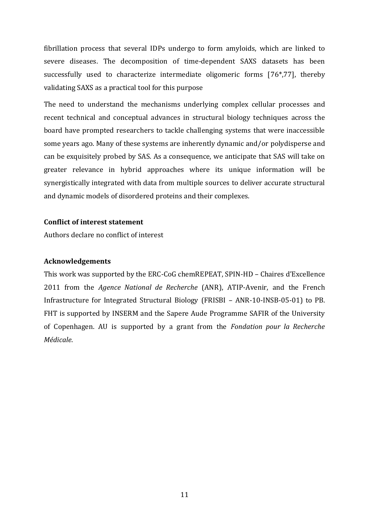fibrillation process that several IDPs undergo to form amyloids, which are linked to severe diseases. The decomposition of time-dependent SAXS datasets has been successfully used to characterize intermediate oligomeric forms [76\*,77], thereby validating SAXS as a practical tool for this purpose

The need to understand the mechanisms underlying complex cellular processes and recent technical and conceptual advances in structural biology techniques across the board have prompted researchers to tackle challenging systems that were inaccessible some years ago. Many of these systems are inherently dynamic and/or polydisperse and can be exquisitely probed by SAS. As a consequence, we anticipate that SAS will take on greater relevance in hybrid approaches where its unique information will be synergistically integrated with data from multiple sources to deliver accurate structural and dynamic models of disordered proteins and their complexes.

# **Conflict of interest statement**

Authors declare no conflict of interest

## **Acknowledgements**

This work was supported by the ERC-CoG chemREPEAT, SPIN-HD – Chaires d'Excellence 2011 from the *Agence National de Recherche* (ANR), ATIP-Avenir, and the French Infrastructure for Integrated Structural Biology (FRISBI – ANR-10-INSB-05-01) to PB. FHT is supported by INSERM and the Sapere Aude Programme SAFIR of the University of Copenhagen. AU is supported by a grant from the *Fondation pour la Recherche Médicale*.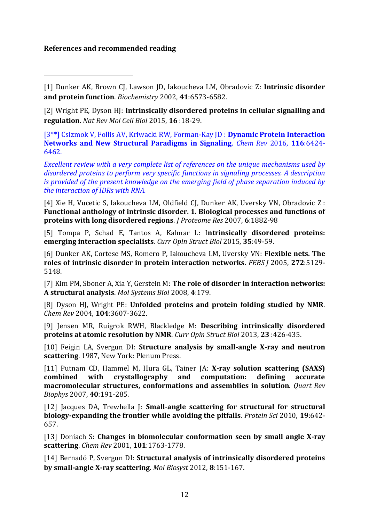# **References and recommended reading**

 $\overline{a}$ 

[1] Dunker AK, Brown CJ, Lawson JD, Iakoucheva LM, Obradovic Z: **Intrinsic disorder and protein function**. *Biochemistry* 2002, **41**:6573-6582.

[2] Wright PE, Dyson HJ: **Intrinsically disordered proteins in cellular signalling and regulation**. *Nat Rev Mol Cell Biol* 2015, **16** :18-29.

[3\*\*] Csizmok V, Follis AV, Kriwacki RW, Forman-Kay JD : **Dynamic Protein Interaction Networks and New Structural Paradigms in Signaling**. *Chem Rev* 2016, **116**:6424- 6462.

*Excellent review with a very complete list of references on the unique mechanisms used by disordered proteins to perform very specific functions in signaling processes. A description is provided of the present knowledge on the emerging field of phase separation induced by the interaction of IDRs with RNA.*

[4] Xie H, Vucetic S, Iakoucheva LM, Oldfield CJ, Dunker AK, Uversky VN, Obradovic Z : **Functional anthology of intrinsic disorder. 1. Biological processes and functions of proteins with long disordered regions**. *J Proteome Res* 2007, **6**:1882-98

[5] Tompa P, Schad E, Tantos A, Kalmar L: I**ntrinsically disordered proteins: emerging interaction specialists**. *Curr Opin Struct Biol* 2015, **35**:49-59.

[6] Dunker AK, Cortese MS, Romero P, Iakoucheva LM, Uversky VN: **Flexible nets. The roles of intrinsic disorder in protein interaction networks.** *FEBS J* 2005, **272**:5129- 5148.

[7] Kim PM, Sboner A, Xia Y, Gerstein M: **The role of disorder in interaction networks: A structural analysis**. *Mol Systems Biol* 2008, **4**:179.

[8] Dyson HJ, Wright PE: **Unfolded proteins and protein folding studied by NMR**. *Chem Rev* 2004, **104**:3607-3622.

[9] Jensen MR, Ruigrok RWH, Blackledge M: **Describing intrinsically disordered proteins at atomic resolution by NMR**. *Curr Opin Struct Biol* 2013, **23** :426-435.

[10] Feigin LA, Svergun DI: **Structure analysis by small-angle X-ray and neutron scattering**. 1987, New York: Plenum Press.

[11] Putnam CD, Hammel M, Hura GL, Tainer JA: **X-ray solution scattering (SAXS) combined with crystallography and computation: defining accurate macromolecular structures, conformations and assemblies in solution**. *Quart Rev Biophys* 2007, **40**:191-285.

[12] Jacques DA, Trewhella J: **Small-angle scattering for structural for structural biology-expanding the frontier while avoiding the pitfalls**. *Protein Sci* 2010, **19**:642- 657.

[13] Doniach S: **Changes in biomolecular conformation seen by small angle X-ray scattering**. *Chem Rev* 2001, **101**:1763-1778.

[14] Bernadó P, Svergun DI: **Structural analysis of intrinsically disordered proteins by small-angle X-ray scattering**. *Mol Biosyst* 2012, **8**:151-167.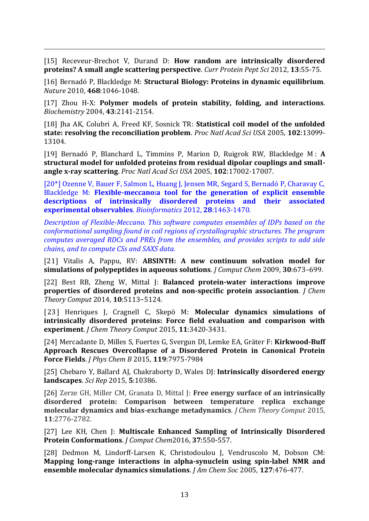[15] Receveur-Brechot V, Durand D: **How random are intrinsically disordered proteins? A small angle scattering perspective**. *Curr Protein Pept Sci* 2012, **13**:55-75.

 $\overline{a}$ 

[16] Bernadó P, Blackledge M: **Structural Biology: Proteins in dynamic equilibrium**. *Nature* 2010, **468**:1046-1048.

[17] Zhou H-X: **Polymer models of protein stability, folding, and interactions**. *Biochemistry* 2004, **43**:2141-2154.

[18] Jha AK, Colubri A, Freed KF, Sosnick TR: **Statistical coil model of the unfolded state: resolving the reconciliation problem**. *Proc Natl Acad Sci USA* 2005, **102**:13099- 13104.

[19] Bernadó P, Blanchard L, Timmins P, Marion D, Ruigrok RW, Blackledge M : **A structural model for unfolded proteins from residual dipolar couplings and smallangle x-ray scattering**. *Proc Natl Acad Sci USA* 2005, **102**:17002-17007.

[20\*] Ozenne V, Bauer F, Salmon L, Huang J, Jensen MR, Segard S, Bernadó P, Charavay C, Blackledge M: **Flexible-meccano:a tool for the generation of explicit ensemble descriptions of intrinsically disordered proteins and their associated experimental observables**. *Bioinformatics* 2012, **28**:1463-1470.

*Description of Flexible-Meccano. This software computes ensembles of IDPs based on the conformational sampling found in coil regions of crystallographic structures. The program computes averaged RDCs and PREs from the ensembles, and provides scripts to add side chains, and to compute CSs and SAXS data.* 

[21] Vitalis A, Pappu, RV: **ABSINTH: A new continuum solvation model for simulations of polypeptides in aqueous solutions**. *J Comput Chem* 2009, **30**:673–699.

[22] Best RB, Zheng W, Mittal J: **Balanced protein-water interactions improve properties of disordered proteins and non-specific protein associantion**. *J Chem Theory Comput* 2014, **10**:5113−5124.

[23] Henriques J, Cragnell C, Skepö M: **Molecular dynamics simulations of intrinsically disordered proteins: Force field evaluation and comparison with experiment**. *J Chem Theory Comput* 2015, **11**:3420-3431.

[24] Mercadante D, Milles S, Fuertes G, Svergun DI, Lemke EA, Gräter F: **Kirkwood-Buff Approach Rescues Overcollapse of a Disordered Protein in Canonical Protein Force Fields**. *J Phys Chem B* 2015, **119**:7975-7984

[25] Chebaro Y, Ballard AJ, Chakraborty D, Wales DJ: **Intrinsically disordered energy landscapes**. *Sci Rep* 2015, **5**:10386.

[26] Zerze GH, Miller CM, Granata D, Mittal J: **Free energy surface of an intrinsically disordered protein: Comparison between temperature replica exchange molecular dynamics and bias-exchange metadynamics**. *J Chem Theory Comput* 2015, **11**:2776-2782.

[27] Lee KH, Chen J: **Multiscale Enhanced Sampling of Intrinsically Disordered Protein Conformations**. *J Comput Chem*2016, **37**:550-557.

[28] Dedmon M, Lindorff-Larsen K, Christodoulou J, Vendruscolo M, Dobson CM: **Mapping long-range interactions in alpha-synuclein using spin-label NMR and ensemble molecular dynamics simulations**. *J Am Chem Soc* 2005, **127**:476-477.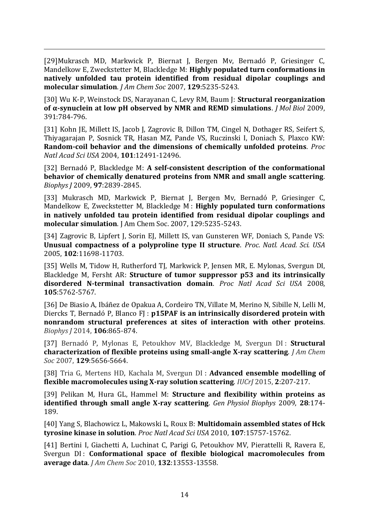[29]Mukrasch MD, Markwick P, Biernat J, Bergen Mv, Bernadó P, Griesinger C, Mandelkow E, Zweckstetter M, Blackledge M: **Highly populated turn conformations in natively unfolded tau protein identified from residual dipolar couplings and molecular simulation**. *J Am Chem Soc* 2007, **129**:5235-5243.

 $\overline{a}$ 

[30] Wu K-P, Weinstock DS, Narayanan C, Levy RM, Baum J: **Structural reorganization of α-synuclein at low pH observed by NMR and REMD simulations**. *J Mol Biol* 2009, 391:784-796.

[31] Kohn JE, Millett IS, Jacob J, Zagrovic B, Dillon TM, Cingel N, Dothager RS, Seifert S, Thiyagarajan P, Sosnick TR, Hasan MZ, Pande VS, Ruczinski I, Doniach S, Plaxco KW: **Random-coil behavior and the dimensions of chemically unfolded proteins**. *Proc Natl Acad Sci USA* 2004, **101**:12491-12496.

[32] Bernadó P, Blackledge M: **A self-consistent description of the conformational behavior of chemically denatured proteins from NMR and small angle scattering**. *Biophys J* 2009, **97**:2839-2845.

[33] Mukrasch MD, Markwick P, Biernat J, Bergen Mv, Bernadó P, Griesinger C, Mandelkow E, Zweckstetter M, Blackledge M : **Highly populated turn conformations in natively unfolded tau protein identified from residual dipolar couplings and molecular simulation**. J Am Chem Soc. 2007, 129:5235-5243.

[34] Zagrovic B, Lipfert J, Sorin EJ, Millett IS, van Gunsteren WF, Doniach S, Pande VS: **Unusual compactness of a polyproline type II structure**. *Proc. Natl. Acad. Sci. USA* 2005, **102**:11698-11703.

[35] Wells M, Tidow H, Rutherford TJ, Markwick P, Jensen MR, E. Mylonas, Svergun DI, Blackledge M, Fersht AR: **Structure of tumor suppressor p53 and its intrinsically disordered N-terminal transactivation domain**. *Proc Natl Acad Sci USA* 2008, **105**:5762-5767.

[36] De Biasio A, Ibáñez de Opakua A, Cordeiro TN, Villate M, Merino N, Sibille N, Lelli M, Diercks T, Bernadó P, Blanco FJ : **p15PAF is an intrinsically disordered protein with nonrandom structural preferences at sites of interaction with other proteins**. *Biophys J* 2014, **106**:865-874.

[37] [Bernadó P,](http://www.ncbi.nlm.nih.gov/pubmed/?term=Bernad%C3%B3%20P%5BAuthor%5D&cauthor=true&cauthor_uid=17411046) [Mylonas E,](http://www.ncbi.nlm.nih.gov/pubmed/?term=Mylonas%20E%5BAuthor%5D&cauthor=true&cauthor_uid=17411046) [Petoukhov MV,](http://www.ncbi.nlm.nih.gov/pubmed/?term=Petoukhov%20MV%5BAuthor%5D&cauthor=true&cauthor_uid=17411046) [Blackledge M,](http://www.ncbi.nlm.nih.gov/pubmed/?term=Blackledge%20M%5BAuthor%5D&cauthor=true&cauthor_uid=17411046) [Svergun DI](http://www.ncbi.nlm.nih.gov/pubmed/?term=Svergun%20DI%5BAuthor%5D&cauthor=true&cauthor_uid=17411046) : **Structural characterization of flexible proteins using small-angle X-ray scattering**. *J Am Chem Soc* 2007, **129**:5656-5664.

[38] [Tria G,](http://www.ncbi.nlm.nih.gov/pubmed/?term=Tria%20G%5BAuthor%5D&cauthor=true&cauthor_uid=25866658) [Mertens HD,](http://www.ncbi.nlm.nih.gov/pubmed/?term=Mertens%20HD%5BAuthor%5D&cauthor=true&cauthor_uid=25866658) [Kachala M,](http://www.ncbi.nlm.nih.gov/pubmed/?term=Kachala%20M%5BAuthor%5D&cauthor=true&cauthor_uid=25866658) [Svergun DI](http://www.ncbi.nlm.nih.gov/pubmed/?term=Svergun%20DI%5BAuthor%5D&cauthor=true&cauthor_uid=25866658) : **Advanced ensemble modelling of flexible macromolecules using X-ray solution scattering**. *IUCrJ* 2015, **2**:207-217.

[39] Pelikan M, Hura GL, Hammel M: **Structure and flexibility within proteins as identified through small angle X-ray scattering**. *Gen Physiol Biophys* 2009, **28**:174- 189.

[40] Yang S, Blachowicz L, Makowski L, Roux B: **Multidomain assembled states of Hck tyrosine kinase in solution**. *Proc Natl Acad Sci USA* 2010, **107**:15757-15762.

[41] Bertini I, Giachetti A, Luchinat C, Parigi G, Petoukhov MV, Pierattelli R, Ravera E, Svergun DI : **Conformational space of flexible biological macromolecules from average data**. *J Am Chem Soc* 2010, **132**:13553-13558.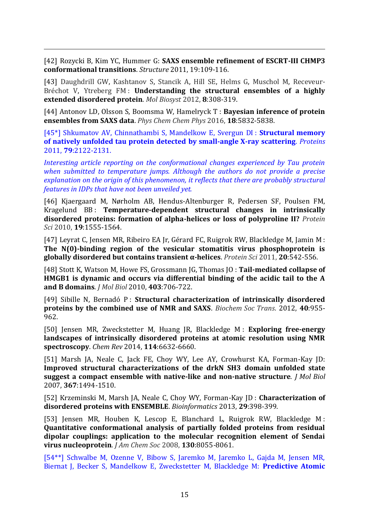[42] Rozycki B, Kim YC, Hummer G: **SAXS ensemble refinement of ESCRT-III CHMP3 conformational transitions**. *Structure* 2011, 19:109-116.

 $\overline{a}$ 

[43] [Daughdrill GW,](http://www.ncbi.nlm.nih.gov/pubmed/?term=Daughdrill%20GW%5BAuthor%5D&cauthor=true&cauthor_uid=21979461) [Kashtanov S,](http://www.ncbi.nlm.nih.gov/pubmed/?term=Kashtanov%20S%5BAuthor%5D&cauthor=true&cauthor_uid=21979461) [Stancik A,](http://www.ncbi.nlm.nih.gov/pubmed/?term=Stancik%20A%5BAuthor%5D&cauthor=true&cauthor_uid=21979461) [Hill SE,](http://www.ncbi.nlm.nih.gov/pubmed/?term=Hill%20SE%5BAuthor%5D&cauthor=true&cauthor_uid=21979461) [Helms G,](http://www.ncbi.nlm.nih.gov/pubmed/?term=Helms%20G%5BAuthor%5D&cauthor=true&cauthor_uid=21979461) [Muschol M,](http://www.ncbi.nlm.nih.gov/pubmed/?term=Muschol%20M%5BAuthor%5D&cauthor=true&cauthor_uid=21979461) [Receveur-](http://www.ncbi.nlm.nih.gov/pubmed/?term=Receveur-Br%C3%A9chot%20V%5BAuthor%5D&cauthor=true&cauthor_uid=21979461)[Bréchot V,](http://www.ncbi.nlm.nih.gov/pubmed/?term=Receveur-Br%C3%A9chot%20V%5BAuthor%5D&cauthor=true&cauthor_uid=21979461) [Ytreberg FM](http://www.ncbi.nlm.nih.gov/pubmed/?term=Ytreberg%20FM%5BAuthor%5D&cauthor=true&cauthor_uid=21979461) : **Understanding the structural ensembles of a highly extended disordered protein**. *Mol Biosyst* 2012, **8**:308-319.

[44] Antonov LD, Olsson S, Boomsma W, Hamelryck T : **Bayesian inference of protein ensembles from SAXS data**. *Phys Chem Chem Phys* 2016, **18**:5832-5838.

[45\*] Shkumatov AV, Chinnathambi S, Mandelkow E, Svergun DI : **Structural memory of natively unfolded tau protein detected by small-angle X-ray scattering**. *Proteins* 2011, **79**:2122-2131.

*Interesting article reporting on the conformational changes experienced by Tau protein when submitted to temperature jumps. Although the authors do not provide a precise explanation on the origin of this phenomenon, it reflects that there are probably structural features in IDPs that have not been unveiled yet.* 

[46] Kjaergaard M, Nørholm AB, Hendus-Altenburger R, Pedersen SF, Poulsen FM, Kragelund BB : **Temperature-dependent structural changes in intrinsically disordered proteins: formation of alpha-helices or loss of polyproline II?** *Protein Sci* 2010, **19**:1555-1564.

[47] Leyrat C, Jensen MR, Ribeiro EA Jr, Gérard FC, Ruigrok RW, Blackledge M, Jamin M : **The N(0)-binding region of the vesicular stomatitis virus phosphoprotein is globally disordered but contains transient α-helices**. *Protein Sci* 2011, **20**:542-556.

[48] Stott K, Watson M, Howe FS, Grossmann JG, Thomas JO : **Tail-mediated collapse of HMGB1 is dynamic and occurs via differential binding of the acidic tail to the A and B domains**. *J Mol Biol* 2010, **403**:706-722.

[49] Sibille N, Bernadó P : **Structural characterization of intrinsically disordered proteins by the combined use of NMR and SAXS**. *Biochem Soc Trans*. 2012, **40**:955- 962.

[50] Jensen MR, Zweckstetter M, Huang JR, Blackledge M : **Exploring free-energy landscapes of intrinsically disordered proteins at atomic resolution using NMR spectroscopy**. *Chem Rev* 2014, **114**:6632-6660.

[51] Marsh JA, Neale C, Jack FE, Choy WY, Lee AY, Crowhurst KA, Forman-Kay JD: **Improved structural characterizations of the drkN SH3 domain unfolded state suggest a compact ensemble with native-like and non-native structure**. *J Mol Biol* 2007, **367**:1494-1510.

[52] Krzeminski M, Marsh JA, Neale C, Choy WY, Forman-Kay JD : **Characterization of disordered proteins with ENSEMBLE**. *Bioinformatics* 2013, **29**:398-399.

[53] Jensen MR, Houben K, Lescop E, Blanchard L, Ruigrok RW, Blackledge M : **Quantitative conformational analysis of partially folded proteins from residual dipolar couplings: application to the molecular recognition element of Sendai virus nucleoprotein**. *J Am Chem Soc* 2008, **130**:8055-8061.

[54\*\*] Schwalbe M, Ozenne V, Bibow S, Jaremko M, Jaremko L, Gajda M, Jensen MR, Biernat J, Becker S, Mandelkow E, Zweckstetter M, Blackledge M: **Predictive Atomic**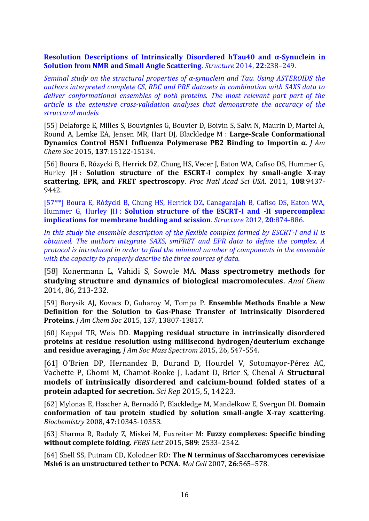**Resolution Descriptions of Intrinsically Disordered hTau40 and α-Synuclein in Solution from NMR and Small Angle Scattering**. *Structure* 2014, **22**:238–249.

 $\overline{a}$ 

*Seminal study on the structural properties of α-synuclein and Tau. Using ASTEROIDS the authors interpreted complete CS, RDC and PRE datasets in combination with SAXS data to deliver conformational ensembles of both proteins. The most relevant part part of the article is the extensive cross-validation analyses that demonstrate the accuracy of the structural models.*

[55] Delaforge E, Milles S, Bouvignies G, Bouvier D, Boivin S, Salvi N, Maurin D, Martel A, Round A, Lemke EA, Jensen MR, Hart DJ, Blackledge M : **Large-Scale Conformational Dynamics Control H5N1 Influenza Polymerase PB2 Binding to Importin α**. *J Am Chem Soc* 2015, **137**:15122-15134.

[56] Boura E, Rózycki B, Herrick DZ, Chung HS, Vecer J, Eaton WA, Cafiso DS, Hummer G, Hurley JH: **Solution structure of the ESCRT-I complex by small-angle X-ray scattering, EPR, and FRET spectroscopy**. *Proc Natl Acad Sci USA*. 2011, **108**:9437- 9442.

[57\*\*] Boura E, Różycki B, Chung HS, Herrick DZ, Canagarajah B, Cafiso DS, Eaton WA, Hummer G, Hurley JH : **Solution structure of the ESCRT-I and -II supercomplex: implications for membrane budding and scission**. *Structure* 2012, **20**:874-886.

*In this study the ensemble description of the flexible complex formed by ESCRT-I and II is obtained. The authors integrate SAXS, smFRET and EPR data to define the complex. A protocol is introduced in order to find the minimal number of components in the ensemble with the capacity to properly describe the three sources of data.*

[58] Konermann L, Vahidi S, Sowole MA. **Mass spectrometry methods for studying structure and dynamics of biological macromolecules**. *Anal Chem* 2014, 86, 213-232.

[59] Borysik AJ, Kovacs D, Guharoy M, Tompa P. **Ensemble Methods Enable a New Definition for the Solution to Gas-Phase Transfer of Intrinsically Disordered Proteins.** *J Am Chem Soc* 2015, 137, 13807-13817.

[60] Keppel TR, Weis DD. **Mapping residual structure in intrinsically disordered proteins at residue resolution using millisecond hydrogen/deuterium exchange and residue averaging**. *J Am Soc Mass Spectrom* 2015, 26, 547-554.

[61] O'Brien DP, Hernandez B, Durand D, Hourdel V, Sotomayor-Pérez AC, Vachette P, Ghomi M, Chamot-Rooke J, Ladant D, Brier S, Chenal A **Structural models of intrinsically disordered and calcium-bound folded states of a protein adapted for secretion.** *Sci Rep* 2015, 5, 14223.

[62] Mylonas E, Hascher A, Bernadó P, Blackledge M, Mandelkow E, Svergun DI. **Domain conformation of tau protein studied by solution small-angle X-ray scattering**. *Biochemistry* 2008, **47**:10345-10353.

[63] Sharma R, Raduly Z, Miskei M, Fuxreiter M: **Fuzzy complexes: Specific binding without complete folding.** *FEBS Lett* 2015, **589**: 2533–2542.

[64] Shell SS, Putnam CD, Kolodner RD: **The N terminus of Saccharomyces cerevisiae Msh6 is an unstructured tether to PCNA**. *Mol Cell* 2007, **26**:565–578.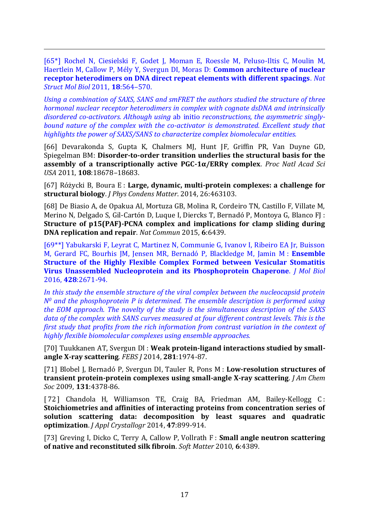[65\*] Rochel N, Ciesielski F, Godet J, Moman E, Roessle M, Peluso-Iltis C, Moulin M, Haertlein M, Callow P, Mély Y, Svergun DI, Moras D: **Common architecture of nuclear receptor heterodimers on DNA direct repeat elements with different spacings**. *Nat Struct Mol Biol* 2011, **18**:564–570.

 $\overline{a}$ 

*Using a combination of SAXS, SANS and smFRET the authors studied the structure of three hormonal nuclear receptor heterodimers in complex with cognate dsDNA and intrinsically disordered co-activators. Although using* ab initio *reconstructions, the asymmetric singlybound nature of the complex with the co-activator is demonstrated. Excellent study that highlights the power of SAXS/SANS to characterize complex biomolecular entities.*

[66] Devarakonda S, Gupta K, Chalmers MJ, Hunt JF, Griffin PR, Van Duyne GD, Spiegelman BM: **Disorder-to-order transition underlies the structural basis for the assembly of a transcriptionally active PGC-1α/ERRγ complex**. *Proc Natl Acad Sci USA* 2011, **108**:18678–18683.

[67] Różycki B, Boura E : **Large, dynamic, multi-protein complexes: a challenge for structural biology**. *J Phys Condens Matter*. 2014, 26:463103.

[68] De Biasio A, de Opakua AI, Mortuza GB, Molina R, Cordeiro TN, Castillo F, Villate M, Merino N, Delgado S, Gil-Cartón D, Luque I, Diercks T, Bernadó P, Montoya G, Blanco FJ : **Structure of p15(PAF)-PCNA complex and implications for clamp sliding during DNA replication and repair**. *Nat Commun* 2015, **6**:6439.

[69\*\*] Yabukarski F, Leyrat C, Martinez N, Communie G, Ivanov I, Ribeiro EA Jr, Buisson M, Gerard FC, Bourhis JM, Jensen MR, Bernadó P, Blackledge M, Jamin M : **Ensemble Structure of the Highly Flexible Complex Formed between Vesicular Stomatitis Virus Unassembled Nucleoprotein and its Phosphoprotein Chaperone**. *J Mol Biol* 2016, **428**:2671-94.

*In this study the ensemble structure of the viral complex between the nucleocapsid protein N<sup>0</sup> and the phosphoprotein P is determined. The ensemble description is performed using the EOM approach. The novelty of the study is the simultaneous description of the SAXS data of the complex with SANS curves measured at four different contrast levels. This is the first study that profits from the rich information from contrast variation in the context of highly flexible biomolecular complexes using ensemble approaches.*

[70] Tuukkanen AT, Svergun DI : **Weak protein-ligand interactions studied by smallangle X-ray scattering**. *FEBS J* 2014, **281**:1974-87.

[71] Blobel J, Bernadó P, Svergun DI, Tauler R, Pons M : **Low-resolution structures of transient protein-protein complexes using small-angle X-ray scattering**. *J Am Chem Soc* 2009, **131**:4378-86.

[ 72 ] Chandola H, Williamson TE, Craig BA, Friedman AM, Bailey-Kellogg C: **Stoichiometries and affinities of interacting proteins from concentration series of solution scattering data: decomposition by least squares and quadratic optimization**. *J Appl Crystallogr* 2014, **47**:899-914.

[73] Greving I, Dicko C, Terry A, Callow P, Vollrath F : **Small angle neutron scattering of native and reconstituted silk fibroin**. *Soft Matter* 2010, **6**:4389.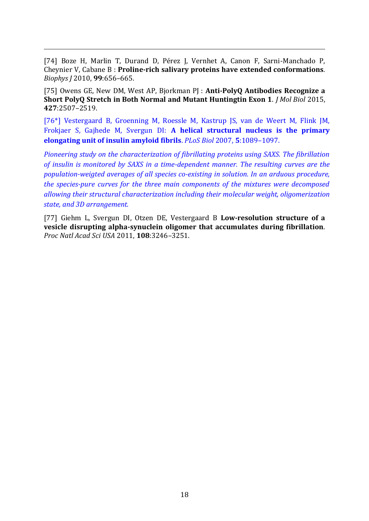[74] Boze H, Marlin T, Durand D, Pérez J, Vernhet A, Canon F, Sarni-Manchado P, Cheynier V, Cabane B : **Proline-rich salivary proteins have extended conformations**. *Biophys J* 2010, **99**:656–665.

 $\overline{a}$ 

[75] Owens GE, New DM, West AP, Bjorkman PJ : **Anti-PolyQ Antibodies Recognize a Short PolyQ Stretch in Both Normal and Mutant Huntingtin Exon 1**. *J Mol Biol* 2015, **427**:2507–2519.

[76\*] Vestergaard B, Groenning M, Roessle M, Kastrup JS, van de Weert M, Flink JM, Frokjaer S, Gajhede M, Svergun DI: **A helical structural nucleus is the primary elongating unit of insulin amyloid fibrils**. *PLoS Biol* 2007, **5**:1089–1097.

*Pioneering study on the characterization of fibrillating proteins using SAXS. The fibrillation of insulin is monitored by SAXS in a time-dependent manner. The resulting curves are the population-weigted averages of all species co-existing in solution. In an arduous procedure, the species-pure curves for the three main components of the mixtures were decomposed allowing their structural characterization including their molecular weight, oligomerization state, and 3D arrangement.*

[77] Giehm L, Svergun DI, Otzen DE, Vestergaard B **Low-resolution structure of a vesicle disrupting alpha-synuclein oligomer that accumulates during fibrillation**. *Proc Natl Acad Sci USA* 2011, **108**:3246–3251.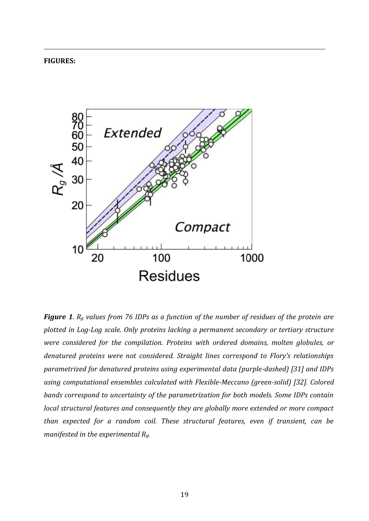#### **FIGURES:**

 $\overline{a}$ 



*Figure 1. R<sup>g</sup> values from 76 IDPs as a function of the number of residues of the protein are plotted in Log-Log scale. Only proteins lacking a permanent secondary or tertiary structure were considered for the compilation. Proteins with ordered domains, molten globules, or denatured proteins were not considered. Straight lines correspond to Flory's relationships parametrized for denatured proteins using experimental data (purple-dashed) [\[31\]](#page-3-1) and IDPs using computational ensembles calculated with Flexible-Meccano (green-solid) [\[32\]](#page-4-6). Colored bands correspond to uncertainty of the parametrization for both models. Some IDPs contain local structural features and consequently they are globally more extended or more compact than expected for a random coil. These structural features, even if transient, can be manifested in the experimental Rg.*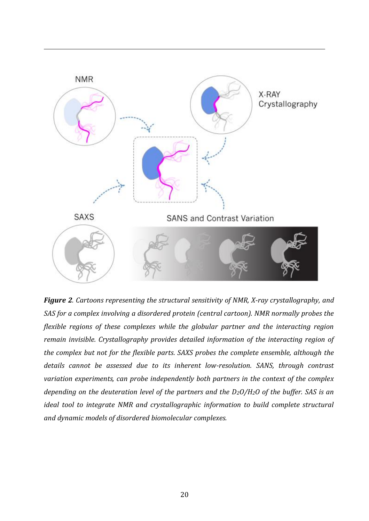

 $\overline{a}$ 

*Figure 2. Cartoons representing the structural sensitivity of NMR, X-ray crystallography, and SAS for a complex involving a disordered protein (central cartoon). NMR normally probes the flexible regions of these complexes while the globular partner and the interacting region remain invisible. Crystallography provides detailed information of the interacting region of the complex but not for the flexible parts. SAXS probes the complete ensemble, although the details cannot be assessed due to its inherent low-resolution. SANS, through contrast variation experiments, can probe independently both partners in the context of the complex depending on the deuteration level of the partners and the D2O/H2O of the buffer. SAS is an ideal tool to integrate NMR and crystallographic information to build complete structural and dynamic models of disordered biomolecular complexes.*